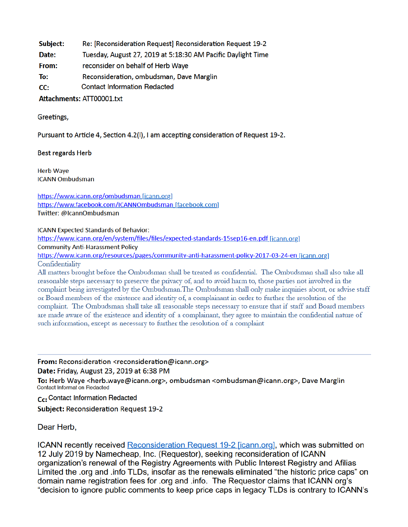- Subject: Re: [Reconsideration Request] Reconsideration Request 19-2
- Tuesday, August 27, 2019 at 5:18:30 AM Pacific Daylight Time Date:
- reconsider on behalf of Herb Waye From:
- To: Reconsideration, ombudsman, Dave Marglin
- **Contact Information Redacted**  $CC:$

## Attachments: ATT00001.txt

## Greetings,

Pursuant to Article 4, Section 4.2(I), I am accepting consideration of Request 19-2.

# **Best regards Herb**

**Herb Waye ICANN Ombudsman** 

https://www.icann.org/ombudsman\_[icann.org] https://www.facebook.com/ICANNOmbudsman\_[facebook.com] Twitter: @IcannOmbudsman

#### **ICANN Expected Standards of Behavior:**

https://www.icann.org/en/system/files/files/expected-standards-15sep16-en.pdf [jcann.org]

**Community Anti-Harassment Policy** 

https://www.icann.org/resources/pages/community-anti-harassment-policy-2017-03-24-en [icann.org] Confidentiality

All matters brought before the Ombudsman shall be treated as confidential. The Ombudsman shall also take all reasonable steps necessary to preserve the privacy of, and to avoid harm to, those parties not involved in the complaint being investigated by the Ombudsman. The Ombudsman shall only make inquiries about, or advise staff or Board members of the existence and identity of, a complainant in order to further the resolution of the complaint. The Ombudsman shall take all reasonable steps necessary to ensure that if staff and Board members are made aware of the existence and identity of a complainant, they agree to maintain the confidential nature of such information, except as necessary to further the resolution of a complaint

From: Reconsideration <reconsideration@icann.org> Date: Friday, August 23, 2019 at 6:38 PM

To: Herb Waye <herb.waye@icann.org>, ombudsman <ombudsman@icann.org>, Dave Marglin Contact Informat on Redacted

Cc: Contact Information Redacted

**Subject: Reconsideration Request 19-2** 

# Dear Herb.

ICANN recently received Reconsideration Request 19-2 [icann.org], which was submitted on 12 July 2019 by Namecheap, Inc. (Requestor), seeking reconsideration of ICANN organization's renewal of the Registry Agreements with Public Interest Registry and Afilias Limited the .org and .info TLDs, insofar as the renewals eliminated "the historic price caps" on domain name registration fees for .org and .info. The Requestor claims that ICANN org's "decision to ignore public comments to keep price caps in legacy TLDs is contrary to ICANN's